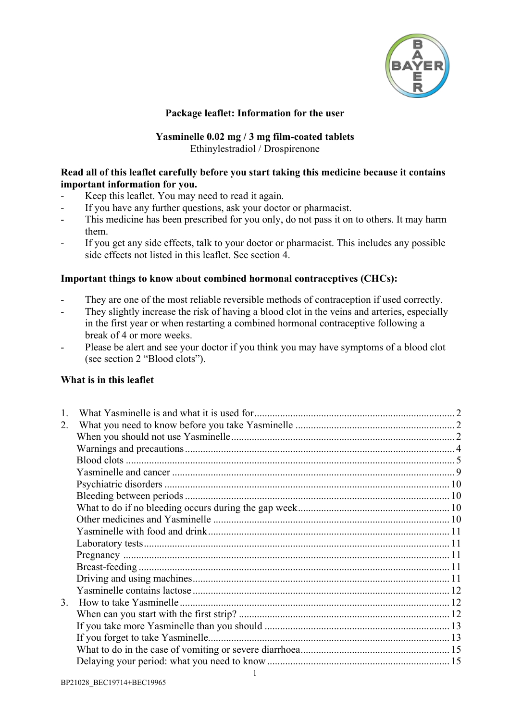

### **Package leaflet: Information for the user**

### **Yasminelle 0.02 mg / 3 mg film-coated tablets** Ethinylestradiol / Drospirenone

### **Read all of this leaflet carefully before you start taking this medicine because it contains important information for you.**

- Keep this leaflet. You may need to read it again.
- If you have any further questions, ask your doctor or pharmacist.
- This medicine has been prescribed for you only, do not pass it on to others. It may harm them.
- If you get any side effects, talk to your doctor or pharmacist. This includes any possible side effects not listed in this leaflet. See section 4.

#### **Important things to know about combined hormonal contraceptives (CHCs):**

- They are one of the most reliable reversible methods of contraception if used correctly.
- They slightly increase the risk of having a blood clot in the veins and arteries, especially in the first year or when restarting a combined hormonal contraceptive following a break of 4 or more weeks.
- Please be alert and see your doctor if you think you may have symptoms of a blood clot (see section 2 "Blood clots").

#### **What is in this leaflet**

| 2. |  |
|----|--|
|    |  |
|    |  |
|    |  |
|    |  |
|    |  |
|    |  |
|    |  |
|    |  |
|    |  |
|    |  |
|    |  |
|    |  |
|    |  |
|    |  |
| 3. |  |
|    |  |
|    |  |
|    |  |
|    |  |
|    |  |
|    |  |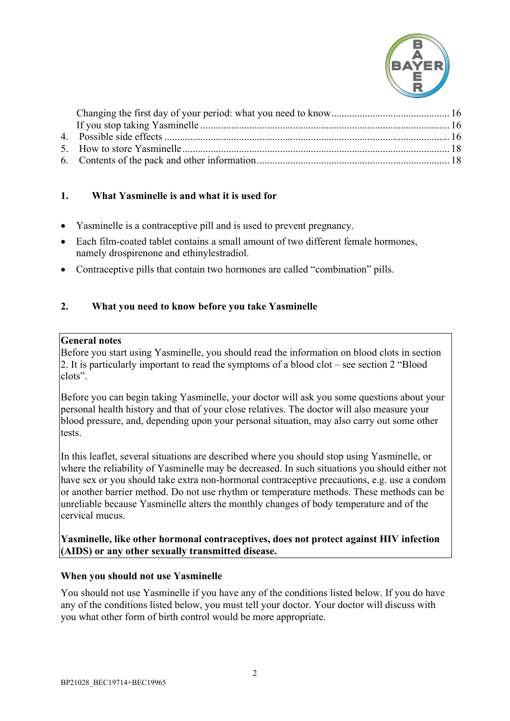

# <span id="page-1-0"></span>**1. What Yasminelle is and what it is used for**

- Yasminelle is a contraceptive pill and is used to prevent pregnancy.
- Each film-coated tablet contains a small amount of two different female hormones, namely drospirenone and ethinylestradiol.
- Contraceptive pills that contain two hormones are called "combination" pills.

### <span id="page-1-1"></span>**2. What you need to know before you take Yasminelle**

#### **General notes**

Before you start using Yasminelle, you should read the information on blood clots in section 2. It is particularly important to read the symptoms of a blood clot – see section 2 "Blood clots".

Before you can begin taking Yasminelle, your doctor will ask you some questions about your personal health history and that of your close relatives. The doctor will also measure your blood pressure, and, depending upon your personal situation, may also carry out some other tests.

In this leaflet, several situations are described where you should stop using Yasminelle, or where the reliability of Yasminelle may be decreased. In such situations you should either not have sex or you should take extra non-hormonal contraceptive precautions, e.g. use a condom or another barrier method. Do not use rhythm or temperature methods. These methods can be unreliable because Yasminelle alters the monthly changes of body temperature and of the cervical mucus.

### **Yasminelle, like other hormonal contraceptives, does not protect against HIV infection (AIDS) or any other sexually transmitted disease.**

#### <span id="page-1-2"></span>**When you should not use Yasminelle**

You should not use Yasminelle if you have any of the conditions listed below. If you do have any of the conditions listed below, you must tell your doctor. Your doctor will discuss with you what other form of birth control would be more appropriate.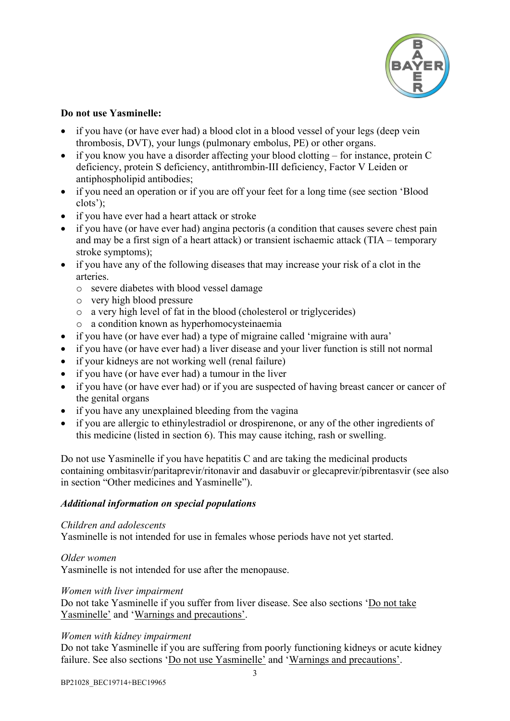

## **Do not use Yasminelle:**

- if you have (or have ever had) a blood clot in a blood vessel of your legs (deep vein thrombosis, DVT), your lungs (pulmonary embolus, PE) or other organs.
- if you know you have a disorder affecting your blood clotting for instance, protein C deficiency, protein S deficiency, antithrombin-III deficiency, Factor V Leiden or antiphospholipid antibodies;
- if you need an operation or if you are off your feet for a long time (see section 'Blood clots');
- if you have ever had a heart attack or stroke
- if you have (or have ever had) angina pectoris (a condition that causes severe chest pain and may be a first sign of a heart attack) or transient ischaemic attack (TIA – temporary stroke symptoms);
- if you have any of the following diseases that may increase your risk of a clot in the arteries.
	- o severe diabetes with blood vessel damage
	- o very high blood pressure
	- o a very high level of fat in the blood (cholesterol or triglycerides)
	- o a condition known as hyperhomocysteinaemia
- if you have (or have ever had) a type of migraine called 'migraine with aura'
- if you have (or have ever had) a liver disease and your liver function is still not normal
- if your kidneys are not working well (renal failure)
- if you have (or have ever had) a tumour in the liver
- if you have (or have ever had) or if you are suspected of having breast cancer or cancer of the genital organs
- if you have any unexplained bleeding from the vagina
- if you are allergic to ethinylestradiol or drospirenone, or any of the other ingredients of this medicine (listed in section 6). This may cause itching, rash or swelling.

Do not use Yasminelle if you have hepatitis C and are taking the medicinal products containing ombitasvir/paritaprevir/ritonavir and dasabuvir or glecaprevir/pibrentasvir (see also in section "Other medicines and Yasminelle").

#### *Additional information on special populations*

#### *Children and adolescents*

Yasminelle is not intended for use in females whose periods have not yet started.

#### *Older women*

Yasminelle is not intended for use after the menopause.

#### *Women with liver impairment*

Do not take Yasminelle if you suffer from liver disease. See also sections 'Do not take Yasminelle' and 'Warnings and precautions'.

#### *Women with kidney impairment*

Do not take Yasminelle if you are suffering from poorly functioning kidneys or acute kidney failure. See also sections 'Do not use Yasminelle' and 'Warnings and precautions'.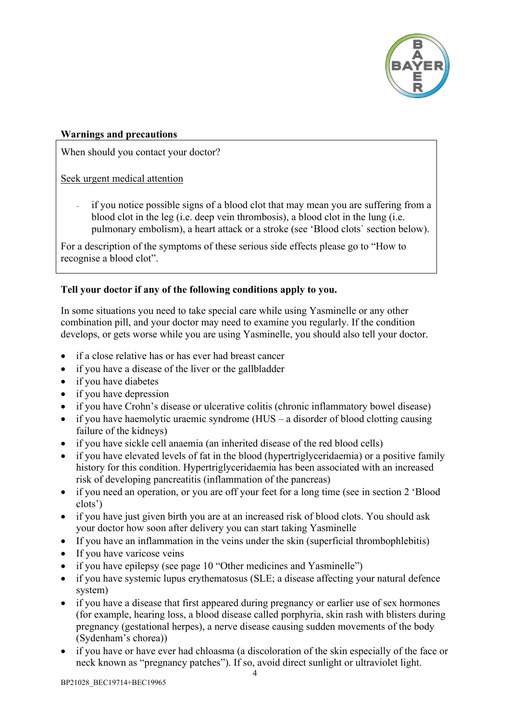

## <span id="page-3-0"></span>**Warnings and precautions**

When should you contact your doctor?

# Seek urgent medical attention

if you notice possible signs of a blood clot that may mean you are suffering from a blood clot in the leg (i.e. deep vein thrombosis), a blood clot in the lung (i.e. pulmonary embolism), a heart attack or a stroke (see 'Blood clots` section below).

For a description of the symptoms of these serious side effects please go to "How to recognise a blood clot".

# **Tell your doctor if any of the following conditions apply to you.**

In some situations you need to take special care while using Yasminelle or any other combination pill, and your doctor may need to examine you regularly. If the condition develops, or gets worse while you are using Yasminelle, you should also tell your doctor.

- if a close relative has or has ever had breast cancer
- if you have a disease of the liver or the gallbladder
- if you have diabetes
- if you have depression
- if you have Crohn's disease or ulcerative colitis (chronic inflammatory bowel disease)
- if you have haemolytic uraemic syndrome (HUS a disorder of blood clotting causing failure of the kidneys)
- if you have sickle cell anaemia (an inherited disease of the red blood cells)
- if you have elevated levels of fat in the blood (hypertriglyceridaemia) or a positive family history for this condition. Hypertriglyceridaemia has been associated with an increased risk of developing pancreatitis (inflammation of the pancreas)
- if you need an operation, or you are off your feet for a long time (see in section 2 'Blood clots')
- if you have just given birth you are at an increased risk of blood clots. You should ask your doctor how soon after delivery you can start taking Yasminelle
- If you have an inflammation in the veins under the skin (superficial thrombophlebitis)
- If you have varicose veins
- if you have epilepsy (see page [10](#page-9-3) "Other medicines and Yasminelle")
- if you have systemic lupus erythematosus (SLE; a disease affecting your natural defence system)
- if you have a disease that first appeared during pregnancy or earlier use of sex hormones (for example, hearing loss, a blood disease called porphyria, skin rash with blisters during pregnancy (gestational herpes), a nerve disease causing sudden movements of the body (Sydenham's chorea))
- if you have or have ever had chloasma (a discoloration of the skin especially of the face or neck known as "pregnancy patches"). If so, avoid direct sunlight or ultraviolet light.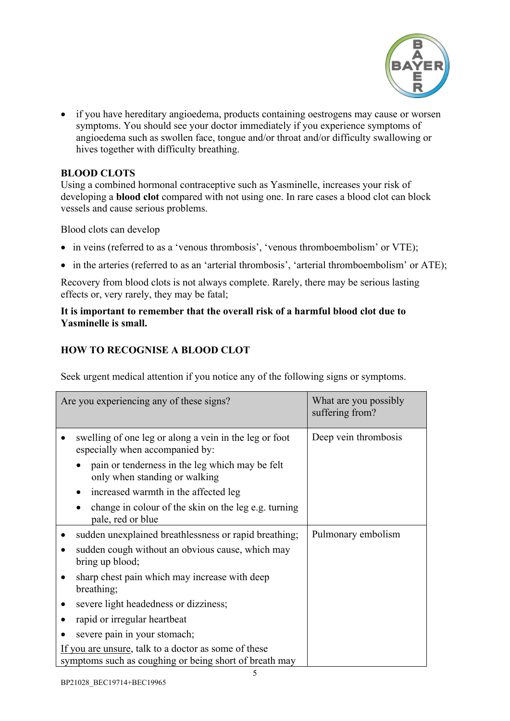

• if you have hereditary angioedema, products containing oestrogens may cause or worsen symptoms. You should see your doctor immediately if you experience symptoms of angioedema such as swollen face, tongue and/or throat and/or difficulty swallowing or hives together with difficulty breathing.

## <span id="page-4-0"></span>**BLOOD CLOTS**

Using a combined hormonal contraceptive such as Yasminelle, increases your risk of developing a **blood clot** compared with not using one. In rare cases a blood clot can block vessels and cause serious problems.

Blood clots can develop

- in veins (referred to as a 'venous thrombosis', 'venous thromboembolism' or VTE);
- in the arteries (referred to as an 'arterial thrombosis', 'arterial thromboembolism' or ATE);

Recovery from blood clots is not always complete. Rarely, there may be serious lasting effects or, very rarely, they may be fatal;

## **It is important to remember that the overall risk of a harmful blood clot due to Yasminelle is small.**

## **HOW TO RECOGNISE A BLOOD CLOT**

Seek urgent medical attention if you notice any of the following signs or symptoms.

| Are you experiencing any of these signs?                                                                       |                                                                                           | What are you possibly<br>suffering from? |
|----------------------------------------------------------------------------------------------------------------|-------------------------------------------------------------------------------------------|------------------------------------------|
|                                                                                                                | swelling of one leg or along a vein in the leg or foot<br>especially when accompanied by: | Deep vein thrombosis                     |
|                                                                                                                | pain or tenderness in the leg which may be felt<br>only when standing or walking          |                                          |
|                                                                                                                | increased warmth in the affected leg<br>٠                                                 |                                          |
|                                                                                                                | change in colour of the skin on the leg e.g. turning<br>$\bullet$<br>pale, red or blue    |                                          |
|                                                                                                                | sudden unexplained breathlessness or rapid breathing;                                     | Pulmonary embolism                       |
|                                                                                                                | sudden cough without an obvious cause, which may<br>bring up blood;                       |                                          |
|                                                                                                                | sharp chest pain which may increase with deep<br>breathing;                               |                                          |
|                                                                                                                | severe light headedness or dizziness;                                                     |                                          |
|                                                                                                                | rapid or irregular heartbeat                                                              |                                          |
|                                                                                                                | severe pain in your stomach;                                                              |                                          |
| If you are unsure, talk to a doctor as some of these<br>symptoms such as coughing or being short of breath may |                                                                                           |                                          |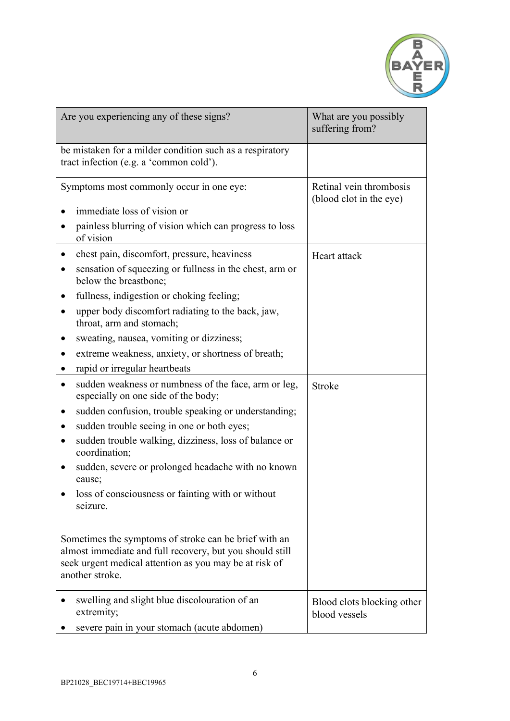

| Are you experiencing any of these signs?                                                                                                                                                                                                                                                                                                                                                                                                                                                        | What are you possibly<br>suffering from?           |
|-------------------------------------------------------------------------------------------------------------------------------------------------------------------------------------------------------------------------------------------------------------------------------------------------------------------------------------------------------------------------------------------------------------------------------------------------------------------------------------------------|----------------------------------------------------|
| be mistaken for a milder condition such as a respiratory<br>tract infection (e.g. a 'common cold').                                                                                                                                                                                                                                                                                                                                                                                             |                                                    |
| Symptoms most commonly occur in one eye:<br>immediate loss of vision or<br>painless blurring of vision which can progress to loss                                                                                                                                                                                                                                                                                                                                                               | Retinal vein thrombosis<br>(blood clot in the eye) |
| of vision<br>chest pain, discomfort, pressure, heaviness<br>$\bullet$<br>sensation of squeezing or fullness in the chest, arm or<br>below the breastbone;<br>fullness, indigestion or choking feeling;<br>upper body discomfort radiating to the back, jaw,<br>٠<br>throat, arm and stomach;<br>sweating, nausea, vomiting or dizziness;<br>extreme weakness, anxiety, or shortness of breath;<br>rapid or irregular heartbeats<br>$\bullet$                                                    | Heart attack                                       |
| sudden weakness or numbness of the face, arm or leg,<br>$\bullet$<br>especially on one side of the body;<br>sudden confusion, trouble speaking or understanding;<br>sudden trouble seeing in one or both eyes;<br>sudden trouble walking, dizziness, loss of balance or<br>$\bullet$<br>coordination;<br>sudden, severe or prolonged headache with no known<br>cause;<br>loss of consciousness or fainting with or without<br>seizure.<br>Sometimes the symptoms of stroke can be brief with an | <b>Stroke</b>                                      |
| almost immediate and full recovery, but you should still<br>seek urgent medical attention as you may be at risk of<br>another stroke.                                                                                                                                                                                                                                                                                                                                                           |                                                    |
| swelling and slight blue discolouration of an<br>extremity;<br>severe pain in your stomach (acute abdomen)                                                                                                                                                                                                                                                                                                                                                                                      | Blood clots blocking other<br>blood vessels        |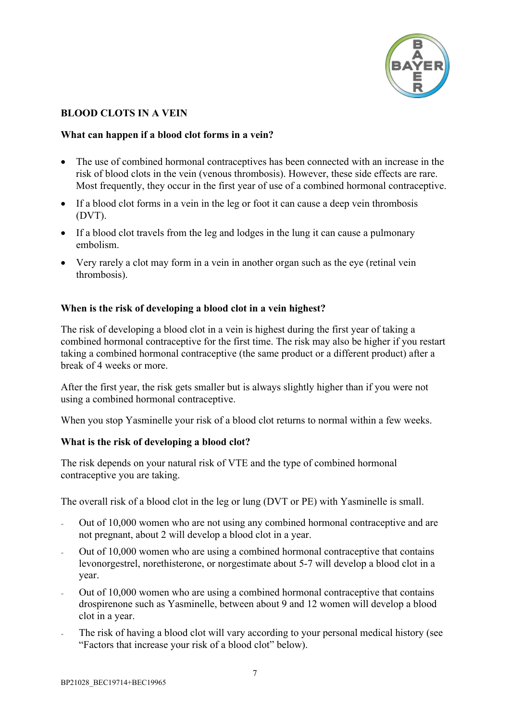

# **BLOOD CLOTS IN A VEIN**

### **What can happen if a blood clot forms in a vein?**

- The use of combined hormonal contraceptives has been connected with an increase in the risk of blood clots in the vein (venous thrombosis). However, these side effects are rare. Most frequently, they occur in the first year of use of a combined hormonal contraceptive.
- If a blood clot forms in a vein in the leg or foot it can cause a deep vein thrombosis (DVT).
- If a blood clot travels from the leg and lodges in the lung it can cause a pulmonary embolism.
- Very rarely a clot may form in a vein in another organ such as the eye (retinal vein thrombosis).

## **When is the risk of developing a blood clot in a vein highest?**

The risk of developing a blood clot in a vein is highest during the first year of taking a combined hormonal contraceptive for the first time. The risk may also be higher if you restart taking a combined hormonal contraceptive (the same product or a different product) after a break of 4 weeks or more.

After the first year, the risk gets smaller but is always slightly higher than if you were not using a combined hormonal contraceptive.

When you stop Yasminelle your risk of a blood clot returns to normal within a few weeks.

## **What is the risk of developing a blood clot?**

The risk depends on your natural risk of VTE and the type of combined hormonal contraceptive you are taking.

The overall risk of a blood clot in the leg or lung (DVT or PE) with Yasminelle is small.

- Out of 10,000 women who are not using any combined hormonal contraceptive and are not pregnant, about 2 will develop a blood clot in a year.
- Out of 10,000 women who are using a combined hormonal contraceptive that contains levonorgestrel, norethisterone, or norgestimate about 5-7 will develop a blood clot in a year.
- Out of 10,000 women who are using a combined hormonal contraceptive that contains drospirenone such as Yasminelle, between about 9 and 12 women will develop a blood clot in a year.
- The risk of having a blood clot will vary according to your personal medical history (see "Factors that increase your risk of a blood clot" below).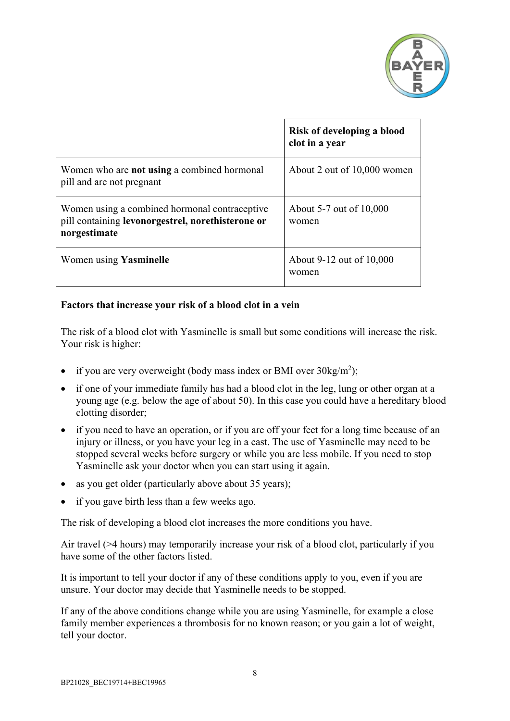

|                                                                                                                    | Risk of developing a blood<br>clot in a year |
|--------------------------------------------------------------------------------------------------------------------|----------------------------------------------|
| Women who are <b>not using</b> a combined hormonal<br>pill and are not pregnant                                    | About 2 out of 10,000 women                  |
| Women using a combined hormonal contraceptive<br>pill containing levonorgestrel, norethisterone or<br>norgestimate | About 5-7 out of 10,000<br>women             |
| Women using Yasminelle                                                                                             | About 9-12 out of 10,000<br>women            |

### **Factors that increase your risk of a blood clot in a vein**

The risk of a blood clot with Yasminelle is small but some conditions will increase the risk. Your risk is higher:

- if you are very overweight (body mass index or BMI over  $30\text{kg/m}^2$ );
- if one of your immediate family has had a blood clot in the leg, lung or other organ at a young age (e.g. below the age of about 50). In this case you could have a hereditary blood clotting disorder;
- if you need to have an operation, or if you are off your feet for a long time because of an injury or illness, or you have your leg in a cast. The use of Yasminelle may need to be stopped several weeks before surgery or while you are less mobile. If you need to stop Yasminelle ask your doctor when you can start using it again.
- as you get older (particularly above about 35 years);
- if you gave birth less than a few weeks ago.

The risk of developing a blood clot increases the more conditions you have.

Air travel (>4 hours) may temporarily increase your risk of a blood clot, particularly if you have some of the other factors listed.

It is important to tell your doctor if any of these conditions apply to you, even if you are unsure. Your doctor may decide that Yasminelle needs to be stopped.

If any of the above conditions change while you are using Yasminelle, for example a close family member experiences a thrombosis for no known reason; or you gain a lot of weight, tell your doctor.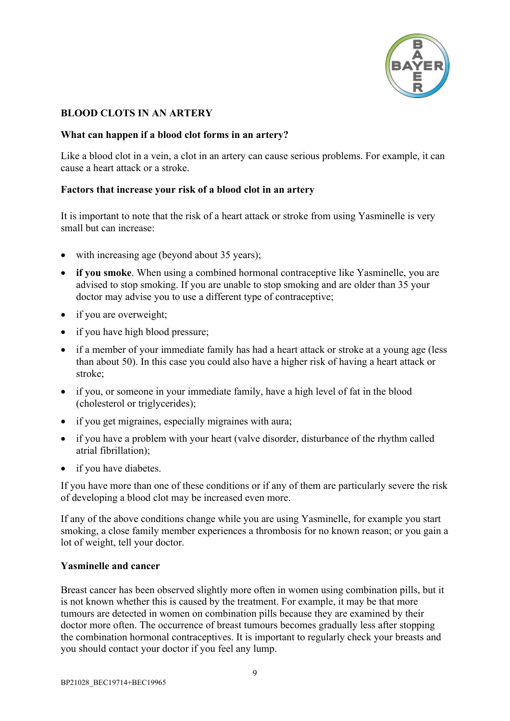

# **BLOOD CLOTS IN AN ARTERY**

### **What can happen if a blood clot forms in an artery?**

Like a blood clot in a vein, a clot in an artery can cause serious problems. For example, it can cause a heart attack or a stroke.

### **Factors that increase your risk of a blood clot in an artery**

It is important to note that the risk of a heart attack or stroke from using Yasminelle is very small but can increase:

- with increasing age (beyond about 35 years);
- **if you smoke**. When using a combined hormonal contraceptive like Yasminelle, you are advised to stop smoking. If you are unable to stop smoking and are older than 35 your doctor may advise you to use a different type of contraceptive;
- if you are overweight;
- if you have high blood pressure;
- if a member of your immediate family has had a heart attack or stroke at a young age (less than about 50). In this case you could also have a higher risk of having a heart attack or stroke;
- if you, or someone in your immediate family, have a high level of fat in the blood (cholesterol or triglycerides);
- if you get migraines, especially migraines with aura;
- if you have a problem with your heart (valve disorder, disturbance of the rhythm called atrial fibrillation);
- if you have diabetes.

If you have more than one of these conditions or if any of them are particularly severe the risk of developing a blood clot may be increased even more.

If any of the above conditions change while you are using Yasminelle, for example you start smoking, a close family member experiences a thrombosis for no known reason; or you gain a lot of weight, tell your doctor.

#### <span id="page-8-0"></span>**Yasminelle and cancer**

Breast cancer has been observed slightly more often in women using combination pills, but it is not known whether this is caused by the treatment. For example, it may be that more tumours are detected in women on combination pills because they are examined by their doctor more often. The occurrence of breast tumours becomes gradually less after stopping the combination hormonal contraceptives. It is important to regularly check your breasts and you should contact your doctor if you feel any lump.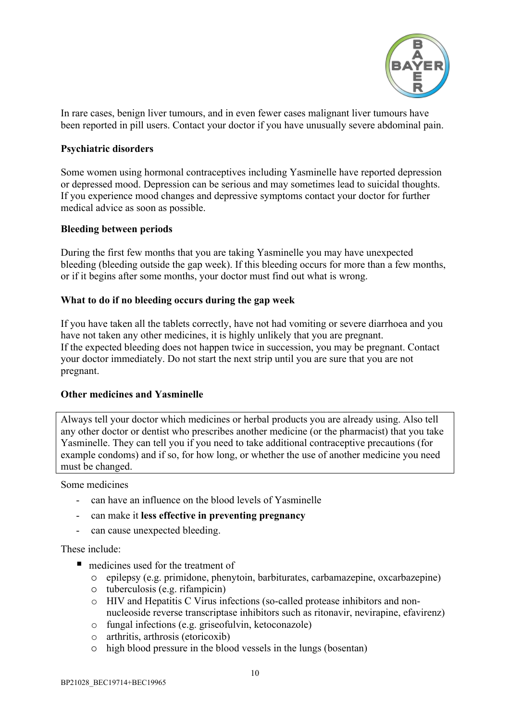

In rare cases, benign liver tumours, and in even fewer cases malignant liver tumours have been reported in pill users. Contact your doctor if you have unusually severe abdominal pain.

### <span id="page-9-0"></span>**Psychiatric disorders**

Some women using hormonal contraceptives including Yasminelle have reported depression or depressed mood. Depression can be serious and may sometimes lead to suicidal thoughts. If you experience mood changes and depressive symptoms contact your doctor for further medical advice as soon as possible.

### <span id="page-9-1"></span>**Bleeding between periods**

During the first few months that you are taking Yasminelle you may have unexpected bleeding (bleeding outside the gap week). If this bleeding occurs for more than a few months, or if it begins after some months, your doctor must find out what is wrong.

### <span id="page-9-2"></span>**What to do if no bleeding occurs during the gap week**

If you have taken all the tablets correctly, have not had vomiting or severe diarrhoea and you have not taken any other medicines, it is highly unlikely that you are pregnant. If the expected bleeding does not happen twice in succession, you may be pregnant. Contact your doctor immediately. Do not start the next strip until you are sure that you are not pregnant.

#### <span id="page-9-3"></span>**Other medicines and Yasminelle**

Always tell your doctor which medicines or herbal products you are already using. Also tell any other doctor or dentist who prescribes another medicine (or the pharmacist) that you take Yasminelle. They can tell you if you need to take additional contraceptive precautions (for example condoms) and if so, for how long, or whether the use of another medicine you need must be changed.

Some medicines

- can have an influence on the blood levels of Yasminelle
- can make it **less effective in preventing pregnancy**
- can cause unexpected bleeding.

These include:

- $\blacksquare$  medicines used for the treatment of
	- epilepsy (e.g. primidone, phenytoin, barbiturates, carbamazepine, oxcarbazepine)
	- tuberculosis (e.g. rifampicin)
	- o HIV and Hepatitis C Virus infections (so-called protease inhibitors and nonnucleoside reverse transcriptase inhibitors such as ritonavir, nevirapine, efavirenz)
	- o fungal infections (e.g. griseofulvin, ketoconazole)
	- o arthritis, arthrosis (etoricoxib)
	- high blood pressure in the blood vessels in the lungs (bosentan)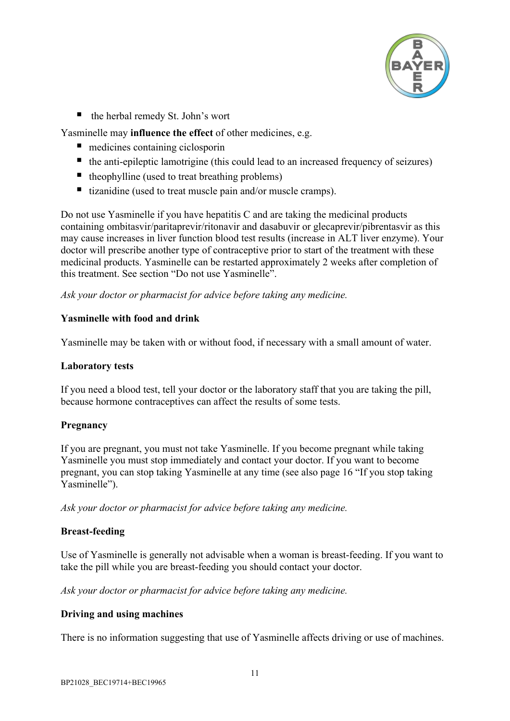

■ the herbal remedy St. John's wort

Yasminelle may **influence the effect** of other medicines, e.g.

- medicines containing ciclosporin
- $\blacksquare$  the anti-epileptic lamotrigine (this could lead to an increased frequency of seizures)
- $\blacksquare$  theophylline (used to treat breathing problems)
- $\blacksquare$  tizanidine (used to treat muscle pain and/or muscle cramps).

Do not use Yasminelle if you have hepatitis C and are taking the medicinal products containing ombitasvir/paritaprevir/ritonavir and dasabuvir or glecaprevir/pibrentasvir as this may cause increases in liver function blood test results (increase in ALT liver enzyme). Your doctor will prescribe another type of contraceptive prior to start of the treatment with these medicinal products. Yasminelle can be restarted approximately 2 weeks after completion of this treatment. See section "Do not use Yasminelle".

*Ask your doctor or pharmacist for advice before taking any medicine.*

## <span id="page-10-0"></span>**Yasminelle with food and drink**

Yasminelle may be taken with or without food, if necessary with a small amount of water.

#### <span id="page-10-1"></span>**Laboratory tests**

If you need a blood test, tell your doctor or the laboratory staff that you are taking the pill, because hormone contraceptives can affect the results of some tests.

## <span id="page-10-2"></span>**Pregnancy**

If you are pregnant, you must not take Yasminelle. If you become pregnant while taking Yasminelle you must stop immediately and contact your doctor. If you want to become pregnant, you can stop taking Yasminelle at any time (see also page [16](#page-15-1) "If you stop taking Yasminelle").

*Ask your doctor or pharmacist for advice before taking any medicine.*

## <span id="page-10-3"></span>**Breast-feeding**

Use of Yasminelle is generally not advisable when a woman is breast-feeding. If you want to take the pill while you are breast-feeding you should contact your doctor.

*Ask your doctor or pharmacist for advice before taking any medicine.*

## <span id="page-10-4"></span>**Driving and using machines**

There is no information suggesting that use of Yasminelle affects driving or use of machines.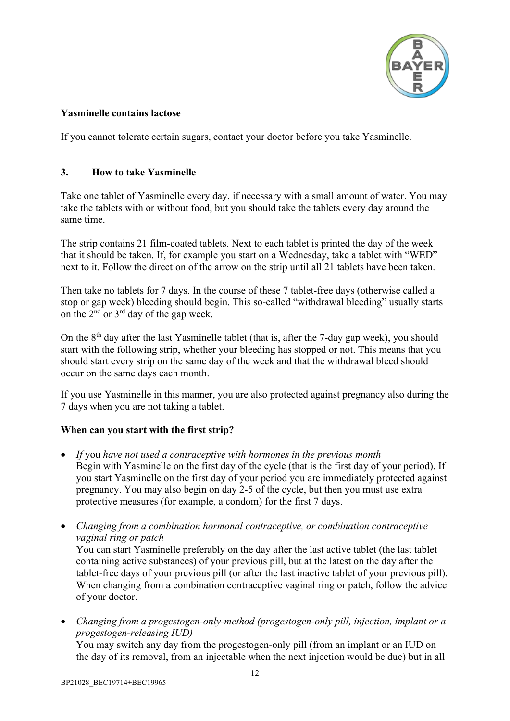

## <span id="page-11-0"></span>**Yasminelle contains lactose**

If you cannot tolerate certain sugars, contact your doctor before you take Yasminelle.

# <span id="page-11-1"></span>**3. How to take Yasminelle**

Take one tablet of Yasminelle every day, if necessary with a small amount of water. You may take the tablets with or without food, but you should take the tablets every day around the same time.

The strip contains 21 film-coated tablets. Next to each tablet is printed the day of the week that it should be taken. If, for example you start on a Wednesday, take a tablet with "WED" next to it. Follow the direction of the arrow on the strip until all 21 tablets have been taken.

Then take no tablets for 7 days. In the course of these 7 tablet-free days (otherwise called a stop or gap week) bleeding should begin. This so-called "withdrawal bleeding" usually starts on the  $2<sup>nd</sup>$  or  $3<sup>rd</sup>$  day of the gap week.

On the 8th day after the last Yasminelle tablet (that is, after the 7-day gap week), you should start with the following strip, whether your bleeding has stopped or not. This means that you should start every strip on the same day of the week and that the withdrawal bleed should occur on the same days each month.

If you use Yasminelle in this manner, you are also protected against pregnancy also during the 7 days when you are not taking a tablet.

# <span id="page-11-2"></span>**When can you start with the first strip?**

- *If* you *have not used a contraceptive with hormones in the previous month* Begin with Yasminelle on the first day of the cycle (that is the first day of your period). If you start Yasminelle on the first day of your period you are immediately protected against pregnancy. You may also begin on day 2-5 of the cycle, but then you must use extra protective measures (for example, a condom) for the first 7 days.
- *Changing from a combination hormonal contraceptive, or combination contraceptive vaginal ring or patch* You can start Yasminelle preferably on the day after the last active tablet (the last tablet containing active substances) of your previous pill, but at the latest on the day after the tablet-free days of your previous pill (or after the last inactive tablet of your previous pill). When changing from a combination contraceptive vaginal ring or patch, follow the advice of your doctor.
- *Changing from a progestogen-only-method (progestogen-only pill, injection, implant or a progestogen-releasing IUD)*

You may switch any day from the progestogen-only pill (from an implant or an IUD on the day of its removal, from an injectable when the next injection would be due) but in all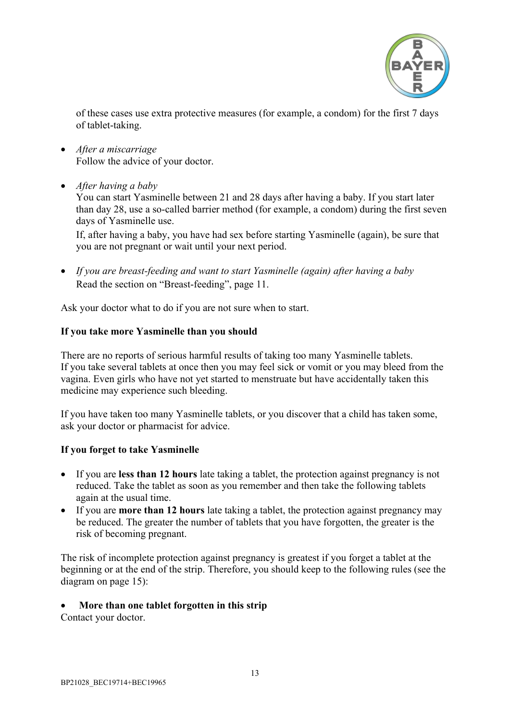

of these cases use extra protective measures (for example, a condom) for the first 7 days of tablet-taking.

- *After a miscarriage* Follow the advice of your doctor.
- *After having a baby*

You can start Yasminelle between 21 and 28 days after having a baby. If you start later than day 28, use a so-called barrier method (for example, a condom) during the first seven days of Yasminelle use.

If, after having a baby, you have had sex before starting Yasminelle (again), be sure that you are not pregnant or wait until your next period.

• *If you are breast-feeding and want to start Yasminelle (again) after having a baby* Read the section on "Breast-feeding", page [11.](#page-10-3)

Ask your doctor what to do if you are not sure when to start.

### <span id="page-12-0"></span>**If you take more Yasminelle than you should**

There are no reports of serious harmful results of taking too many Yasminelle tablets. If you take several tablets at once then you may feel sick or vomit or you may bleed from the vagina. Even girls who have not yet started to menstruate but have accidentally taken this medicine may experience such bleeding.

If you have taken too many Yasminelle tablets, or you discover that a child has taken some, ask your doctor or pharmacist for advice.

## <span id="page-12-1"></span>**If you forget to take Yasminelle**

- If you are **less than 12 hours** late taking a tablet, the protection against pregnancy is not reduced. Take the tablet as soon as you remember and then take the following tablets again at the usual time.
- If you are **more than 12 hours** late taking a tablet, the protection against pregnancy may be reduced. The greater the number of tablets that you have forgotten, the greater is the risk of becoming pregnant.

The risk of incomplete protection against pregnancy is greatest if you forget a tablet at the beginning or at the end of the strip. Therefore, you should keep to the following rules (see the diagram on page [15\)](#page-14-2):

#### • **More than one tablet forgotten in this strip**

Contact your doctor.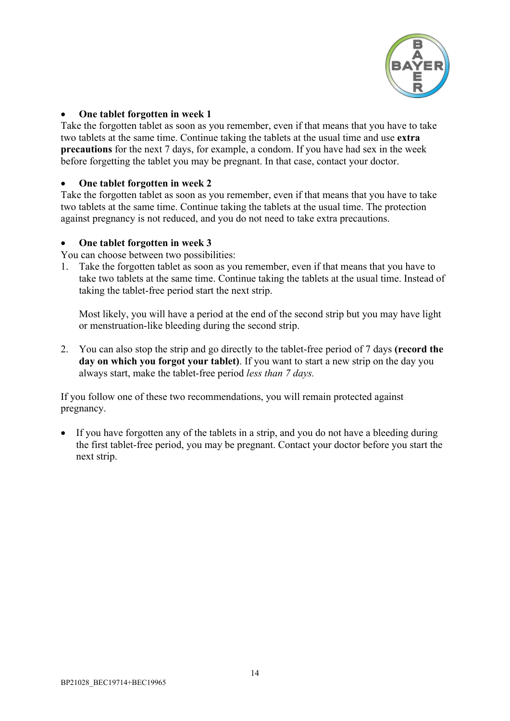

## • **One tablet forgotten in week 1**

Take the forgotten tablet as soon as you remember, even if that means that you have to take two tablets at the same time. Continue taking the tablets at the usual time and use **extra precautions** for the next 7 days, for example, a condom. If you have had sex in the week before forgetting the tablet you may be pregnant. In that case, contact your doctor.

#### • **One tablet forgotten in week 2**

Take the forgotten tablet as soon as you remember, even if that means that you have to take two tablets at the same time. Continue taking the tablets at the usual time. The protection against pregnancy is not reduced, and you do not need to take extra precautions.

### • **One tablet forgotten in week 3**

You can choose between two possibilities:

1. Take the forgotten tablet as soon as you remember, even if that means that you have to take two tablets at the same time. Continue taking the tablets at the usual time. Instead of taking the tablet-free period start the next strip.

Most likely, you will have a period at the end of the second strip but you may have light or menstruation-like bleeding during the second strip.

2. You can also stop the strip and go directly to the tablet-free period of 7 days **(record the day on which you forgot your tablet)**. If you want to start a new strip on the day you always start, make the tablet-free period *less than 7 days.*

If you follow one of these two recommendations, you will remain protected against pregnancy.

If you have forgotten any of the tablets in a strip, and you do not have a bleeding during the first tablet-free period, you may be pregnant. Contact your doctor before you start the next strip.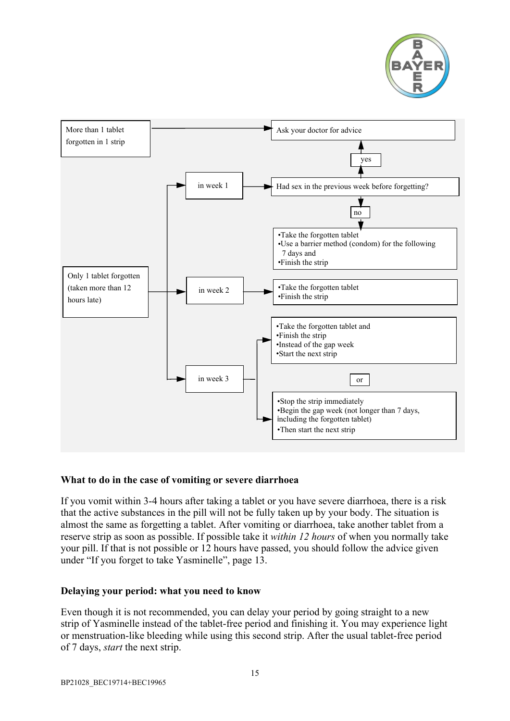

<span id="page-14-2"></span>

## <span id="page-14-0"></span>**What to do in the case of vomiting or severe diarrhoea**

If you vomit within 3-4 hours after taking a tablet or you have severe diarrhoea, there is a risk that the active substances in the pill will not be fully taken up by your body. The situation is almost the same as forgetting a tablet. After vomiting or diarrhoea, take another tablet from a reserve strip as soon as possible. If possible take it *within 12 hours* of when you normally take your pill. If that is not possible or 12 hours have passed, you should follow the advice given under "If you forget to take Yasminelle", page [13.](#page-12-1)

#### <span id="page-14-1"></span>**Delaying your period: what you need to know**

Even though it is not recommended, you can delay your period by going straight to a new strip of Yasminelle instead of the tablet-free period and finishing it. You may experience light or menstruation-like bleeding while using this second strip. After the usual tablet-free period of 7 days, *start* the next strip.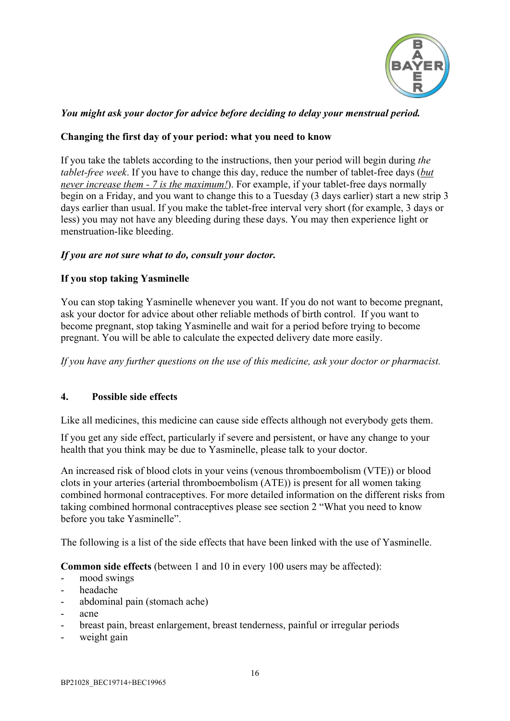

# *You might ask your doctor for advice before deciding to delay your menstrual period.*

## <span id="page-15-0"></span>**Changing the first day of your period: what you need to know**

If you take the tablets according to the instructions, then your period will begin during *the tablet-free week*. If you have to change this day, reduce the number of tablet-free days (*but never increase them - 7 is the maximum!*). For example, if your tablet-free days normally begin on a Friday, and you want to change this to a Tuesday (3 days earlier) start a new strip 3 days earlier than usual. If you make the tablet-free interval very short (for example, 3 days or less) you may not have any bleeding during these days. You may then experience light or menstruation-like bleeding.

### *If you are not sure what to do, consult your doctor.*

### <span id="page-15-1"></span>**If you stop taking Yasminelle**

You can stop taking Yasminelle whenever you want. If you do not want to become pregnant, ask your doctor for advice about other reliable methods of birth control. If you want to become pregnant, stop taking Yasminelle and wait for a period before trying to become pregnant. You will be able to calculate the expected delivery date more easily.

*If you have any further questions on the use of this medicine, ask your doctor or pharmacist.*

#### <span id="page-15-2"></span>**4. Possible side effects**

Like all medicines, this medicine can cause side effects although not everybody gets them.

If you get any side effect, particularly if severe and persistent, or have any change to your health that you think may be due to Yasminelle, please talk to your doctor.

An increased risk of blood clots in your veins (venous thromboembolism (VTE)) or blood clots in your arteries (arterial thromboembolism (ATE)) is present for all women taking combined hormonal contraceptives. For more detailed information on the different risks from taking combined hormonal contraceptives please see section 2 "What you need to know before you take Yasminelle".

The following is a list of the side effects that have been linked with the use of Yasminelle.

**Common side effects** (between 1 and 10 in every 100 users may be affected):

- mood swings
- headache
- abdominal pain (stomach ache)
- acne
- breast pain, breast enlargement, breast tenderness, painful or irregular periods
- weight gain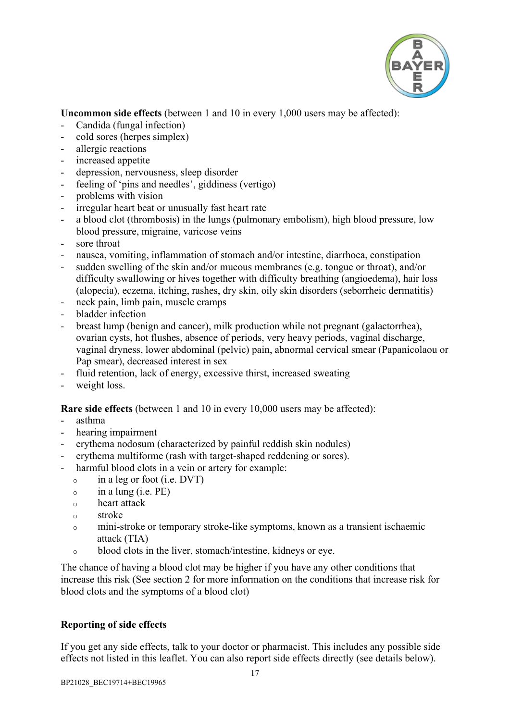

**Uncommon side effects** (between 1 and 10 in every 1,000 users may be affected):

- Candida (fungal infection)
- cold sores (herpes simplex)
- allergic reactions
- increased appetite
- depression, nervousness, sleep disorder
- feeling of 'pins and needles', giddiness (vertigo)
- problems with vision
- irregular heart beat or unusually fast heart rate
- a blood clot (thrombosis) in the lungs (pulmonary embolism), high blood pressure, low blood pressure, migraine, varicose veins
- sore throat
- nausea, vomiting, inflammation of stomach and/or intestine, diarrhoea, constipation
- sudden swelling of the skin and/or mucous membranes (e.g. tongue or throat), and/or difficulty swallowing or hives together with difficulty breathing (angioedema), hair loss (alopecia), eczema, itching, rashes, dry skin, oily skin disorders (seborrheic dermatitis)
- neck pain, limb pain, muscle cramps
- bladder infection
- breast lump (benign and cancer), milk production while not pregnant (galactorrhea), ovarian cysts, hot flushes, absence of periods, very heavy periods, vaginal discharge, vaginal dryness, lower abdominal (pelvic) pain, abnormal cervical smear (Papanicolaou or Pap smear), decreased interest in sex
- fluid retention, lack of energy, excessive thirst, increased sweating
- weight loss.

**Rare side effects** (between 1 and 10 in every 10,000 users may be affected):

- asthma
- hearing impairment
- erythema nodosum (characterized by painful reddish skin nodules)
- erythema multiforme (rash with target-shaped reddening or sores).
- harmful blood clots in a vein or artery for example:
	- <sup>o</sup> in a leg or foot (i.e. DVT)
	- $\circ$  in a lung (i.e. PE)
	- <sup>o</sup> heart attack
	- <sup>o</sup> stroke
	- <sup>o</sup> mini-stroke or temporary stroke-like symptoms, known as a transient ischaemic attack (TIA)
	- <sup>o</sup> blood clots in the liver, stomach/intestine, kidneys or eye.

The chance of having a blood clot may be higher if you have any other conditions that increase this risk (See section 2 for more information on the conditions that increase risk for blood clots and the symptoms of a blood clot)

## **Reporting of side effects**

If you get any side effects, talk to your doctor or pharmacist. This includes any possible side effects not listed in this leaflet. You can also report side effects directly (see details below).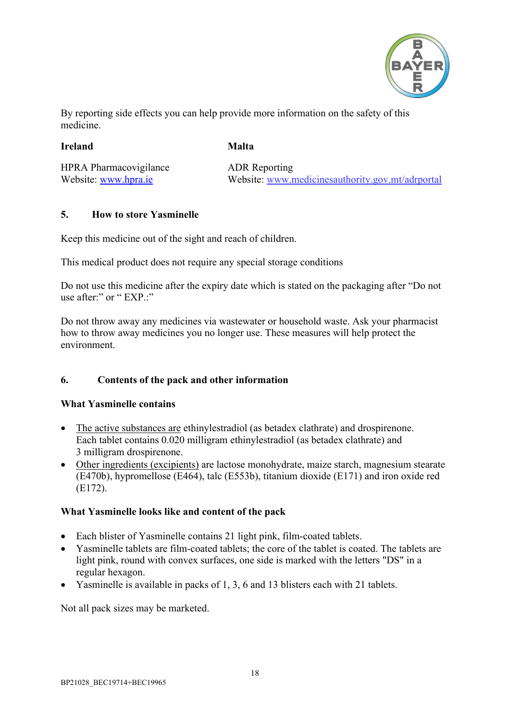

By reporting side effects you can help provide more information on the safety of this medicine.

### **Ireland**

**Malta**

HPRA Pharmacovigilance Website: [www.hpra.ie](http://www.hpra.ie/)

ADR Reporting Website: [www.medicinesauthority.gov.mt/](http://www.medicinesauthority.gov.mt/)adrportal

## <span id="page-17-0"></span>**5. How to store Yasminelle**

Keep this medicine out of the sight and reach of children.

This medical product does not require any special storage conditions

Do not use this medicine after the expiry date which is stated on the packaging after "Do not use after:" or " EXP.:"

Do not throw away any medicines via wastewater or household waste. Ask your pharmacist how to throw away medicines you no longer use. These measures will help protect the environment.

# <span id="page-17-1"></span>**6. Contents of the pack and other information**

## **What Yasminelle contains**

- The active substances are ethinylestradiol (as betadex clathrate) and drospirenone. Each tablet contains 0.020 milligram ethinylestradiol (as betadex clathrate) and 3 milligram drospirenone.
- Other ingredients (excipients) are lactose monohydrate, maize starch, magnesium stearate (E470b), hypromellose (E464), talc (E553b), titanium dioxide (E171) and iron oxide red (E172).

## **What Yasminelle looks like and content of the pack**

- Each blister of Yasminelle contains 21 light pink, film-coated tablets.
- Yasminelle tablets are film-coated tablets; the core of the tablet is coated. The tablets are light pink, round with convex surfaces, one side is marked with the letters "DS" in a regular hexagon.
- Yasminelle is available in packs of 1, 3, 6 and 13 blisters each with 21 tablets.

Not all pack sizes may be marketed.